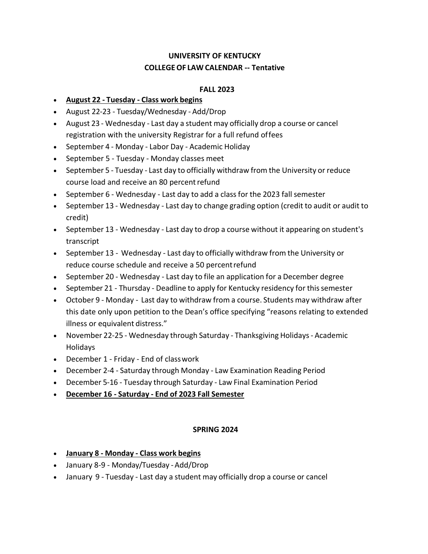## **UNIVERSITY OF KENTUCKY COLLEGEOF LAW CALENDAR -- Tentative**

## **FALL 2023**

- **August 22 - Tuesday - Class work begins**
- August 22-23 Tuesday/Wednesday Add/Drop
- August 23 Wednesday Last day a student may officially drop a course or cancel registration with the university Registrar for a full refund offees
- September 4 Monday Labor Day Academic Holiday
- September 5 Tuesday Monday classes meet
- September 5 Tuesday Last day to officially withdraw from the University or reduce course load and receive an 80 percent refund
- September 6 Wednesday Last day to add a class for the 2023 fall semester
- September 13 Wednesday Last day to change grading option (credit to audit or audit to credit)
- September 13 Wednesday Last day to drop a course without it appearing on student's transcript
- September 13 Wednesday Last day to officially withdraw from the University or reduce course schedule and receive a 50 percentrefund
- September 20 Wednesday Last day to file an application for a December degree
- September 21 Thursday Deadline to apply for Kentucky residency for this semester
- October 9 Monday Last day to withdraw from a course. Students may withdraw after this date only upon petition to the Dean's office specifying "reasons relating to extended illness or equivalent distress."
- November 22-25 Wednesday through Saturday Thanksgiving Holidays- Academic Holidays
- December 1 Friday End of classwork
- December 2-4 Saturday through Monday Law Examination Reading Period
- December 5-16 Tuesday through Saturday Law Final Examination Period
- **December 16 - Saturday - End of 2023 Fall Semester**

## **SPRING 2024**

- **January 8 - Monday - Class work begins**
- January 8-9 Monday/Tuesday -Add/Drop
- January 9 Tuesday Last day a student may officially drop a course or cancel